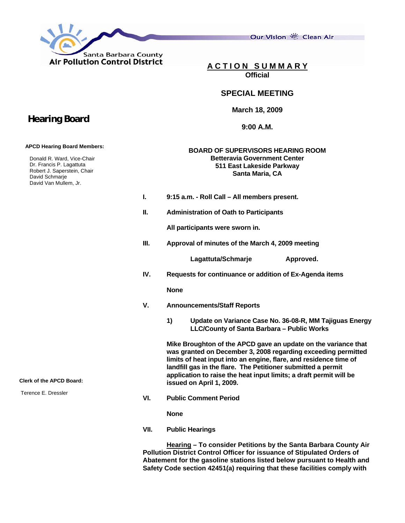

Our Vision 卷 Clean Air

**A C T I O N S U M M A R Y Official**

## **SPECIAL MEETING**

**March 18, 2009** 

**9:00 A.M.** 

## **BOARD OF SUPERVISORS HEARING ROOM Betteravia Government Center 511 East Lakeside Parkway Santa Maria, CA**

- **I. 9:15 a.m. Roll Call All members present.**
- **II. Administration of Oath to Participants**

 **All participants were sworn in.** 

**III. Approval of minutes of the March 4, 2009 meeting** 

Lagattuta/Schmarje **Approved.** 

**IV. Requests for continuance or addition of Ex-Agenda items** 

 **None** 

- **V. Announcements/Staff Reports** 
	- **1) Update on Variance Case No. 36-08-R, MM Tajiguas Energy LLC/County of Santa Barbara – Public Works**

 **Mike Broughton of the APCD gave an update on the variance that was granted on December 3, 2008 regarding exceeding permitted limits of heat input into an engine, flare, and residence time of landfill gas in the flare. The Petitioner submitted a permit application to raise the heat input limits; a draft permit will be issued on April 1, 2009.** 

**VI. Public Comment Period** 

**None** 

**VII. Public Hearings** 

**Hearing – To consider Petitions by the Santa Barbara County Air Pollution District Control Officer for issuance of Stipulated Orders of Abatement for the gasoline stations listed below pursuant to Health and Safety Code section 42451(a) requiring that these facilities comply with** 

## **Hearing Board**

 **APCD Hearing Board Members:** 

 Donald R. Ward, Vice-Chair Dr. Francis P. Lagattuta Robert J. Saperstein, Chair David Schmarje David Van Mullem, Jr.

**Clerk of the APCD Board:** 

Terence E. Dressler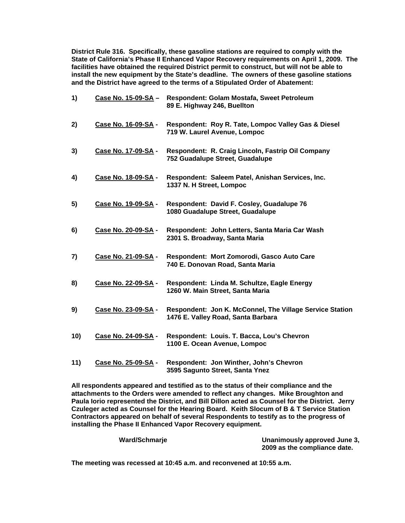**District Rule 316. Specifically, these gasoline stations are required to comply with the State of California's Phase II Enhanced Vapor Recovery requirements on April 1, 2009. The facilities have obtained the required District permit to construct, but will not be able to install the new equipment by the State's deadline. The owners of these gasoline stations and the District have agreed to the terms of a Stipulated Order of Abatement:** 

| 1)  | Case No. 15-09-SA - | Respondent: Golam Mostafa, Sweet Petroleum<br>89 E. Highway 246, Buellton                      |
|-----|---------------------|------------------------------------------------------------------------------------------------|
| 2)  | Case No. 16-09-SA - | Respondent: Roy R. Tate, Lompoc Valley Gas & Diesel<br>719 W. Laurel Avenue, Lompoc            |
| 3)  | Case No. 17-09-SA - | Respondent: R. Craig Lincoln, Fastrip Oil Company<br>752 Guadalupe Street, Guadalupe           |
| 4)  | Case No. 18-09-SA - | Respondent: Saleem Patel, Anishan Services, Inc.<br>1337 N. H Street, Lompoc                   |
| 5)  | Case No. 19-09-SA - | Respondent: David F. Cosley, Guadalupe 76<br>1080 Guadalupe Street, Guadalupe                  |
| 6)  | Case No. 20-09-SA - | Respondent: John Letters, Santa Maria Car Wash<br>2301 S. Broadway, Santa Maria                |
| 7)  | Case No. 21-09-SA - | Respondent: Mort Zomorodi, Gasco Auto Care<br>740 E. Donovan Road, Santa Maria                 |
| 8)  | Case No. 22-09-SA - | Respondent: Linda M. Schultze, Eagle Energy<br>1260 W. Main Street, Santa Maria                |
| 9)  | Case No. 23-09-SA - | Respondent: Jon K. McConnel, The Village Service Station<br>1476 E. Valley Road, Santa Barbara |
| 10) | Case No. 24-09-SA - | Respondent: Louis. T. Bacca, Lou's Chevron<br>1100 E. Ocean Avenue, Lompoc                     |
| 11) | Case No. 25-09-SA - | Respondent: Jon Winther, John's Chevron<br>3595 Sagunto Street, Santa Ynez                     |

**All respondents appeared and testified as to the status of their compliance and the attachments to the Orders were amended to reflect any changes. Mike Broughton and Paula Iorio represented the District, and Bill Dillon acted as Counsel for the District. Jerry Czuleger acted as Counsel for the Hearing Board. Keith Slocum of B & T Service Station Contractors appeared on behalf of several Respondents to testify as to the progress of installing the Phase II Enhanced Vapor Recovery equipment.** 

| Ward/Schmarje | Unanimously approved June 3, |
|---------------|------------------------------|
|               | 2009 as the compliance date. |

**The meeting was recessed at 10:45 a.m. and reconvened at 10:55 a.m.**